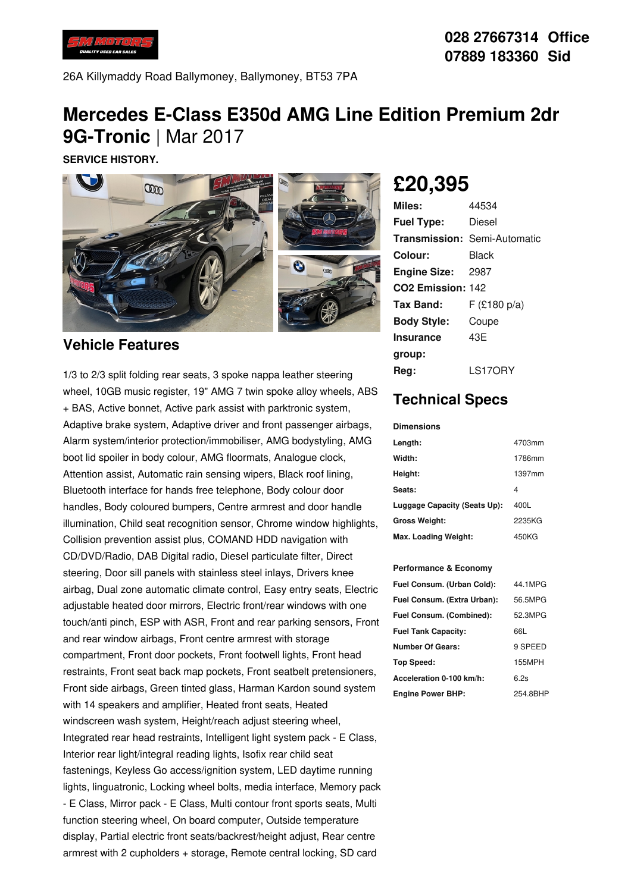

26A Killymaddy Road Ballymoney, Ballymoney, BT53 7PA

## **Mercedes E-Class E350d AMG Line Edition Premium 2dr 9G-Tronic** | Mar 2017

**SERVICE HISTORY.**



### **Vehicle Features**

1/3 to 2/3 split folding rear seats, 3 spoke nappa leather steering wheel, 10GB music register, 19" AMG 7 twin spoke alloy wheels, ABS + BAS, Active bonnet, Active park assist with parktronic system, Adaptive brake system, Adaptive driver and front passenger airbags, Alarm system/interior protection/immobiliser, AMG bodystyling, AMG boot lid spoiler in body colour, AMG floormats, Analogue clock, Attention assist, Automatic rain sensing wipers, Black roof lining, Bluetooth interface for hands free telephone, Body colour door handles, Body coloured bumpers, Centre armrest and door handle illumination, Child seat recognition sensor, Chrome window highlights, Collision prevention assist plus, COMAND HDD navigation with CD/DVD/Radio, DAB Digital radio, Diesel particulate filter, Direct steering, Door sill panels with stainless steel inlays, Drivers knee airbag, Dual zone automatic climate control, Easy entry seats, Electric adjustable heated door mirrors, Electric front/rear windows with one touch/anti pinch, ESP with ASR, Front and rear parking sensors, Front and rear window airbags, Front centre armrest with storage compartment, Front door pockets, Front footwell lights, Front head restraints, Front seat back map pockets, Front seatbelt pretensioners, Front side airbags, Green tinted glass, Harman Kardon sound system with 14 speakers and amplifier, Heated front seats, Heated windscreen wash system, Height/reach adjust steering wheel, Integrated rear head restraints, Intelligent light system pack - E Class, Interior rear light/integral reading lights, Isofix rear child seat fastenings, Keyless Go access/ignition system, LED daytime running lights, linguatronic, Locking wheel bolts, media interface, Memory pack - E Class, Mirror pack - E Class, Multi contour front sports seats, Multi function steering wheel, On board computer, Outside temperature display, Partial electric front seats/backrest/height adjust, Rear centre armrest with 2 cupholders + storage, Remote central locking, SD card

# **£20,395**

| Miles:                        | 44534                               |
|-------------------------------|-------------------------------------|
| <b>Fuel Type:</b>             | Diesel                              |
|                               | <b>Transmission: Semi-Automatic</b> |
| Colour:                       | Black                               |
| <b>Engine Size: 2987</b>      |                                     |
| CO <sub>2</sub> Emission: 142 |                                     |
| Tax Band:                     | F(£180 p/a)                         |
| <b>Body Style:</b>            | Coupe                               |
| <b>Insurance</b>              | 43E                                 |
| group:                        |                                     |
| Rea:                          | LS17ORY                             |

## **Technical Specs**

#### **Dimensions**

| Length:                      | 4703mm |
|------------------------------|--------|
| Width:                       | 1786mm |
| Height:                      | 1397mm |
| Seats:                       | 4      |
| Luggage Capacity (Seats Up): | 400L   |
| <b>Gross Weight:</b>         | 2235KG |
| Max. Loading Weight:         | 450KG  |

#### **Performance & Economy**

| Fuel Consum. (Urban Cold):  | 44.1MPG  |
|-----------------------------|----------|
| Fuel Consum. (Extra Urban): | 56.5MPG  |
| Fuel Consum. (Combined):    | 52.3MPG  |
| <b>Fuel Tank Capacity:</b>  | 66L      |
| Number Of Gears:            | 9 SPEED  |
| <b>Top Speed:</b>           | 155MPH   |
| Acceleration 0-100 km/h:    | 6.2s     |
| <b>Engine Power BHP:</b>    | 254.8BHP |